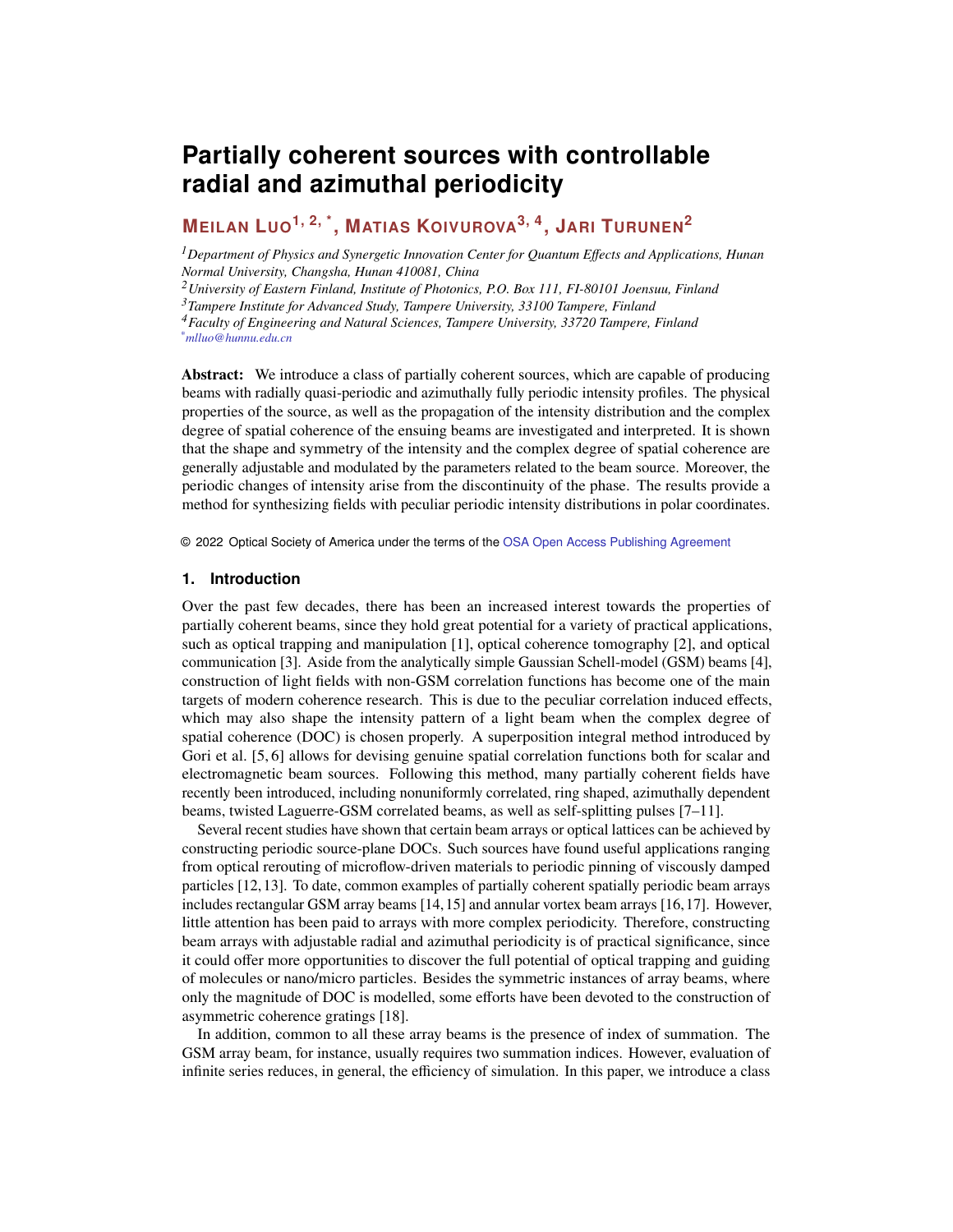# **Partially coherent sources with controllable radial and azimuthal periodicity**

# **MEILAN LUO1, 2, \*, MATIAS KOIVUROVA3, 4, JARI TURUNEN<sup>2</sup>**

*<sup>1</sup>Department of Physics and Synergetic Innovation Center for Quantum Effects and Applications, Hunan Normal University, Changsha, Hunan 410081, China*

*<sup>2</sup>University of Eastern Finland, Institute of Photonics, P.O. Box 111, FI-80101 Joensuu, Finland*

*<sup>3</sup>Tampere Institute for Advanced Study, Tampere University, 33100 Tampere, Finland*

*<sup>4</sup>Faculty of Engineering and Natural Sciences, Tampere University, 33720 Tampere, Finland \*mlluo@hunnu.edu.cn*

**Abstract:** We introduce a class of partially coherent sources, which are capable of producing beams with radially quasi-periodic and azimuthally fully periodic intensity profiles. The physical properties of the source, as well as the propagation of the intensity distribution and the complex degree of spatial coherence of the ensuing beams are investigated and interpreted. It is shown that the shape and symmetry of the intensity and the complex degree of spatial coherence are generally adjustable and modulated by the parameters related to the beam source. Moreover, the periodic changes of intensity arise from the discontinuity of the phase. The results provide a method for synthesizing fields with peculiar periodic intensity distributions in polar coordinates.

© 2022 Optical Society of America under the terms of the [OSA Open Access Publishing Agreement](https://doi.org/10.1364/OA_License_v1)

#### **1. Introduction**

Over the past few decades, there has been an increased interest towards the properties of partially coherent beams, since they hold great potential for a variety of practical applications, such as optical trapping and manipulation [\[1\]](#page-12-0), optical coherence tomography [\[2\]](#page-12-1), and optical communication [\[3\]](#page-12-2). Aside from the analytically simple Gaussian Schell-model (GSM) beams [\[4\]](#page-12-3), construction of light fields with non-GSM correlation functions has become one of the main targets of modern coherence research. This is due to the peculiar correlation induced effects, which may also shape the intensity pattern of a light beam when the complex degree of spatial coherence (DOC) is chosen properly. A superposition integral method introduced by Gori et al. [\[5,](#page-12-4) [6\]](#page-12-5) allows for devising genuine spatial correlation functions both for scalar and electromagnetic beam sources. Following this method, many partially coherent fields have recently been introduced, including nonuniformly correlated, ring shaped, azimuthally dependent beams, twisted Laguerre-GSM correlated beams, as well as self-splitting pulses [\[7–](#page-12-6)[11\]](#page-12-7).

Several recent studies have shown that certain beam arrays or optical lattices can be achieved by constructing periodic source-plane DOCs. Such sources have found useful applications ranging from optical rerouting of microflow-driven materials to periodic pinning of viscously damped particles [\[12,](#page-12-8)[13\]](#page-12-9). To date, common examples of partially coherent spatially periodic beam arrays includes rectangular GSM array beams [\[14,](#page-12-10)[15\]](#page-12-11) and annular vortex beam arrays [\[16,](#page-12-12)[17\]](#page-12-13). However, little attention has been paid to arrays with more complex periodicity. Therefore, constructing beam arrays with adjustable radial and azimuthal periodicity is of practical significance, since it could offer more opportunities to discover the full potential of optical trapping and guiding of molecules or nano/micro particles. Besides the symmetric instances of array beams, where only the magnitude of DOC is modelled, some efforts have been devoted to the construction of asymmetric coherence gratings [\[18\]](#page-12-14).

In addition, common to all these array beams is the presence of index of summation. The GSM array beam, for instance, usually requires two summation indices. However, evaluation of infinite series reduces, in general, the efficiency of simulation. In this paper, we introduce a class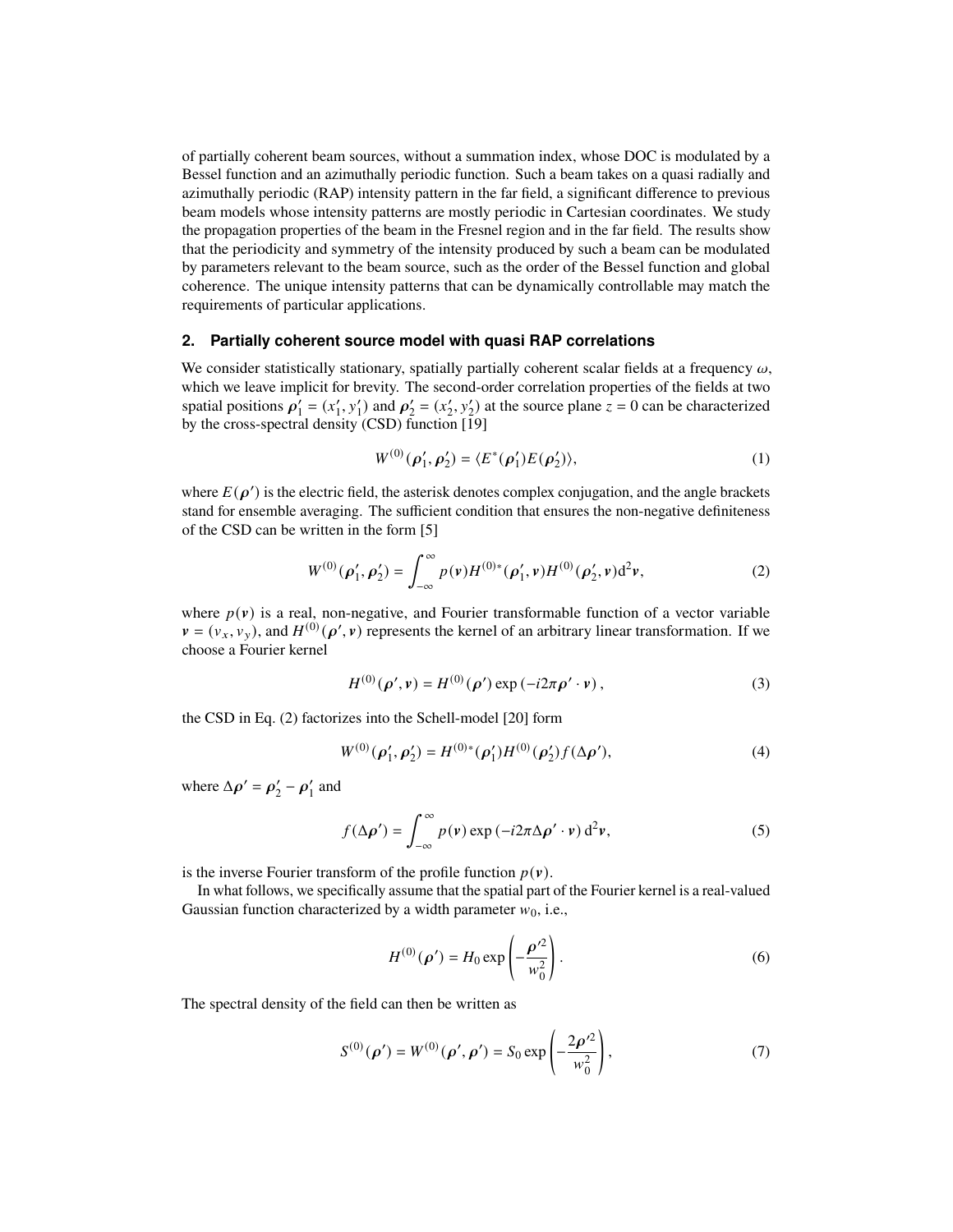of partially coherent beam sources, without a summation index, whose DOC is modulated by a Bessel function and an azimuthally periodic function. Such a beam takes on a quasi radially and azimuthally periodic (RAP) intensity pattern in the far field, a significant difference to previous beam models whose intensity patterns are mostly periodic in Cartesian coordinates. We study the propagation properties of the beam in the Fresnel region and in the far field. The results show that the periodicity and symmetry of the intensity produced by such a beam can be modulated by parameters relevant to the beam source, such as the order of the Bessel function and global coherence. The unique intensity patterns that can be dynamically controllable may match the requirements of particular applications.

#### **2. Partially coherent source model with quasi RAP correlations**

We consider statistically stationary, spatially partially coherent scalar fields at a frequency  $\omega$ , which we leave implicit for brevity. The second-order correlation properties of the fields at two spatial positions  $\rho'_1 = (x'_1, y'_1)$  and  $\rho'_2 = (x'_2, y'_2)$  at the source plane  $z = 0$  can be characterized by the cross-spectral density (CSD) function [\[19\]](#page-12-15)

$$
W^{(0)}(\rho'_1, \rho'_2) = \langle E^*(\rho'_1) E(\rho'_2) \rangle, \tag{1}
$$

where  $E(\rho')$  is the electric field, the asterisk denotes complex conjugation, and the angle brackets stand for ensemble averaging. The sufficient condition that ensures the non-negative definiteness of the CSD can be written in the form [\[5\]](#page-12-4)

<span id="page-1-0"></span>
$$
W^{(0)}(\rho'_1, \rho'_2) = \int_{-\infty}^{\infty} p(\mathbf{v}) H^{(0)*}(\rho'_1, \mathbf{v}) H^{(0)}(\rho'_2, \mathbf{v}) d^2 \mathbf{v},\tag{2}
$$

where  $p(v)$  is a real, non-negative, and Fourier transformable function of a vector variable  $v = (v_x, v_y)$ , and  $H^{(0)}(\rho', v)$  represents the kernel of an arbitrary linear transformation. If we choose a Fourier kernel

<span id="page-1-3"></span>
$$
H^{(0)}(\rho', \nu) = H^{(0)}(\rho') \exp(-i2\pi \rho' \cdot \nu), \qquad (3)
$$

the CSD in Eq. [\(2\)](#page-1-0) factorizes into the Schell-model [\[20\]](#page-12-16) form

$$
W^{(0)}(\rho'_1, \rho'_2) = H^{(0)*}(\rho'_1)H^{(0)}(\rho'_2)f(\Delta\rho'),\tag{4}
$$

where  $\Delta \rho' = \rho'_2 - \rho'_1$  and

<span id="page-1-1"></span>
$$
f(\Delta \rho') = \int_{-\infty}^{\infty} p(\mathbf{v}) \exp(-i2\pi \Delta \rho' \cdot \mathbf{v}) d^2 \mathbf{v},
$$
 (5)

is the inverse Fourier transform of the profile function  $p(\mathbf{v})$ .

In what follows, we specifically assume that the spatial part of the Fourier kernel is a real-valued Gaussian function characterized by a width parameter  $w_0$ , i.e.,

$$
H^{(0)}(\rho') = H_0 \exp\left(-\frac{\rho'^2}{w_0^2}\right).
$$
 (6)

The spectral density of the field can then be written as

<span id="page-1-2"></span>
$$
S^{(0)}(\rho') = W^{(0)}(\rho', \rho') = S_0 \exp\left(-\frac{2\rho'^2}{w_0^2}\right),\tag{7}
$$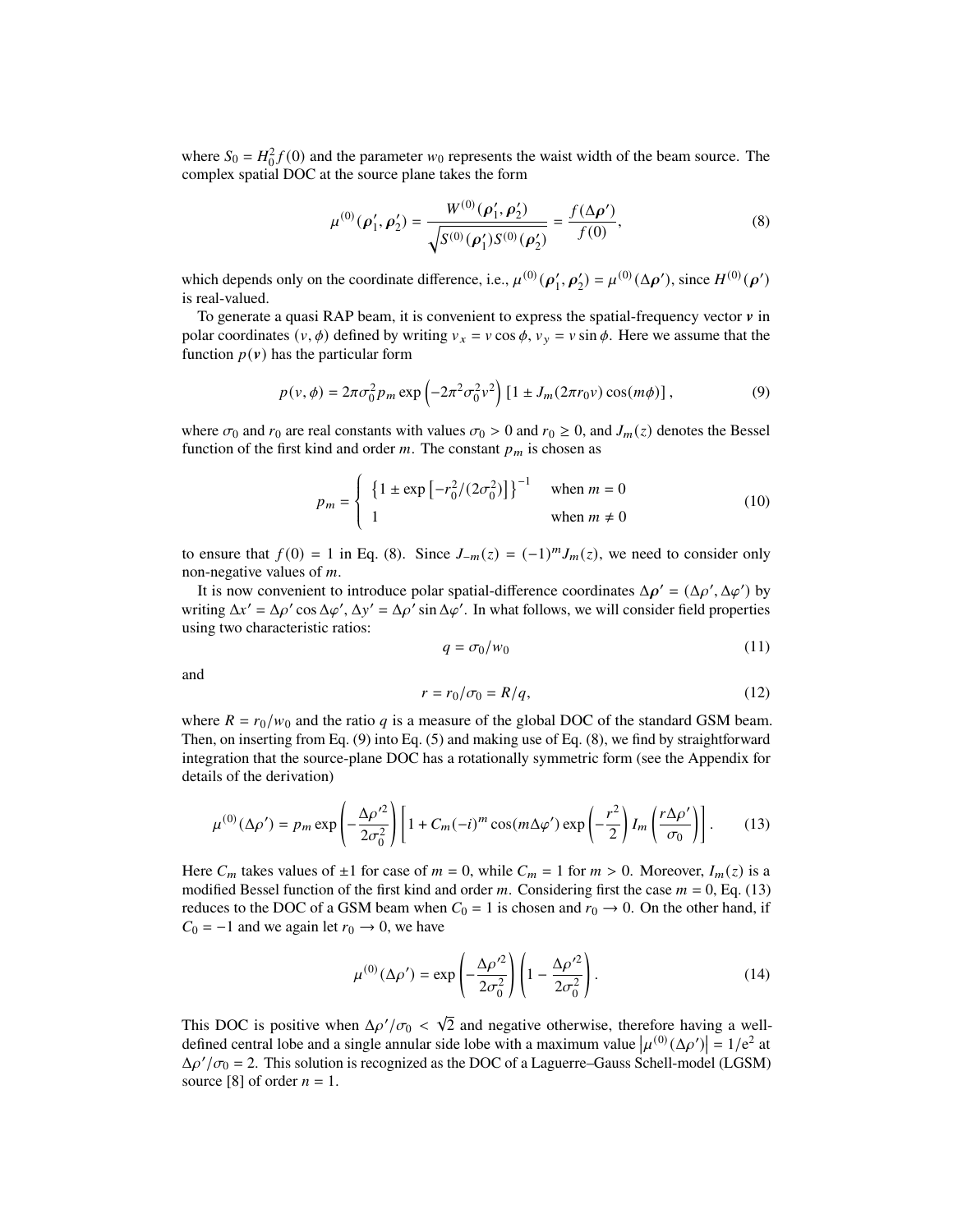where  $S_0 = H_0^2 f(0)$  and the parameter  $w_0$  represents the waist width of the beam source. The complex spatial DOC at the source plane takes the form

<span id="page-2-0"></span>
$$
\mu^{(0)}(\rho'_1, \rho'_2) = \frac{W^{(0)}(\rho'_1, \rho'_2)}{\sqrt{S^{(0)}(\rho'_1)S^{(0)}(\rho'_2)}} = \frac{f(\Delta \rho')}{f(0)},
$$
\n(8)

which depends only on the coordinate difference, i.e.,  $\mu^{(0)}(\rho'_1, \rho'_2) = \mu^{(0)}(\Delta \rho')$ , since  $H^{(0)}(\rho')$ is real-valued.

To generate a quasi RAP beam, it is convenient to express the spatial-frequency vector  $\nu$  in polar coordinates  $(v, \phi)$  defined by writing  $v_x = v \cos \phi$ ,  $v_y = v \sin \phi$ . Here we assume that the function  $p(\mathbf{v})$  has the particular form

<span id="page-2-1"></span>
$$
p(v,\phi) = 2\pi\sigma_0^2 p_m \exp\left(-2\pi^2\sigma_0^2 v^2\right) \left[1 \pm J_m(2\pi r_0 v) \cos(m\phi)\right],
$$
 (9)

where  $\sigma_0$  and  $r_0$  are real constants with values  $\sigma_0 > 0$  and  $r_0 \ge 0$ , and  $J_m(z)$  denotes the Bessel function of the first kind and order  $m$ . The constant  $p_m$  is chosen as

$$
p_m = \begin{cases} \left\{1 \pm \exp\left[-r_0^2/(2\sigma_0^2)\right]\right\}^{-1} & \text{when } m = 0\\ 1 & \text{when } m \neq 0 \end{cases}
$$
 (10)

to ensure that  $f(0) = 1$  in Eq. [\(8\)](#page-2-0). Since  $J_{-m}(z) = (-1)^m J_m(z)$ , we need to consider only non-negative values of  $m$ .

Ĩ,

It is now convenient to introduce polar spatial-difference coordinates  $\Delta \rho' = (\Delta \rho', \Delta \varphi')$  by writing  $\Delta x' = \Delta \rho' \cos \Delta \varphi', \Delta y' = \Delta \rho' \sin \Delta \varphi'$ . In what follows, we will consider field properties using two characteristic ratios:

$$
q = \sigma_0 / w_0 \tag{11}
$$

and

$$
r = r_0/\sigma_0 = R/q,\tag{12}
$$

where  $R = r_0/w_0$  and the ratio q is a measure of the global DOC of the standard GSM beam. Then, on inserting from Eq. [\(9\)](#page-2-1) into Eq. [\(5\)](#page-1-1) and making use of Eq. [\(8\)](#page-2-0), we find by straightforward integration that the source-plane DOC has a rotationally symmetric form (see the Appendix for details of the derivation)

<span id="page-2-2"></span>
$$
\mu^{(0)}(\Delta \rho') = p_m \exp\left(-\frac{\Delta \rho'^2}{2\sigma_0^2}\right) \left[1 + C_m(-i)^m \cos(m\Delta \varphi') \exp\left(-\frac{r^2}{2}\right) I_m\left(\frac{r\Delta \rho'}{\sigma_0}\right)\right].
$$
 (13)

Here  $C_m$  takes values of  $\pm 1$  for case of  $m = 0$ , while  $C_m = 1$  for  $m > 0$ . Moreover,  $I_m(z)$  is a modified Bessel function of the first kind and order  $m$ . Considering first the case  $m = 0$ , Eq. [\(13\)](#page-2-2) reduces to the DOC of a GSM beam when  $C_0 = 1$  is chosen and  $r_0 \rightarrow 0$ . On the other hand, if  $C_0 = -1$  and we again let  $r_0 \rightarrow 0$ , we have

<span id="page-2-3"></span>
$$
\mu^{(0)}(\Delta \rho') = \exp\left(-\frac{\Delta \rho'^2}{2\sigma_0^2}\right) \left(1 - \frac{\Delta \rho'^2}{2\sigma_0^2}\right). \tag{14}
$$

This DOC is positive when  $\Delta \rho'/\sigma_0 < \sqrt{\frac{\rho_0}{\rho}}$ 2 and negative otherwise, therefore having a welldefined central lobe and a single annular side lobe with a maximum value  $|\mu^{(0)}(\Delta \rho')| = 1/e^2$  at  $\Delta \rho' / \sigma_0 = 2$ . This solution is recognized as the DOC of a Laguerre–Gauss Schell-model (LGSM) source [\[8\]](#page-12-17) of order  $n = 1$ .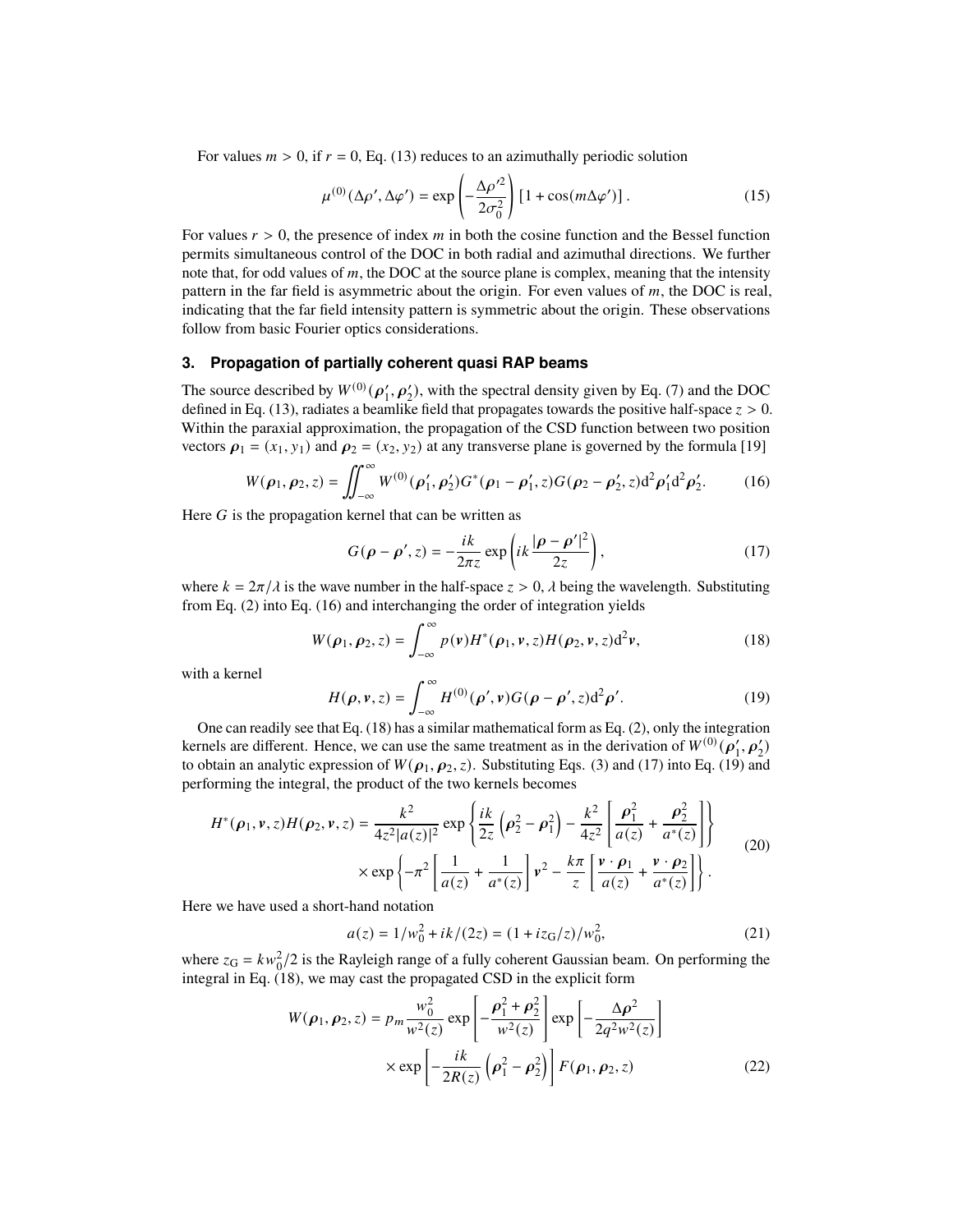For values  $m > 0$ , if  $r = 0$ , Eq. [\(13\)](#page-2-2) reduces to an azimuthally periodic solution

$$
\mu^{(0)}(\Delta \rho', \Delta \varphi') = \exp\left(-\frac{\Delta \rho'^2}{2\sigma_0^2}\right) \left[1 + \cos(m\Delta \varphi')\right].
$$
 (15)

For values  $r > 0$ , the presence of index m in both the cosine function and the Bessel function permits simultaneous control of the DOC in both radial and azimuthal directions. We further note that, for odd values of  $m$ , the DOC at the source plane is complex, meaning that the intensity pattern in the far field is asymmetric about the origin. For even values of  $m$ , the DOC is real, indicating that the far field intensity pattern is symmetric about the origin. These observations follow from basic Fourier optics considerations.

# **3. Propagation of partially coherent quasi RAP beams**

The source described by  $W^{(0)}(\rho'_1, \rho'_2)$ , with the spectral density given by Eq. [\(7\)](#page-1-2) and the DOC defined in Eq. [\(13\)](#page-2-2), radiates a beamlike field that propagates towards the positive half-space  $z > 0$ . Within the paraxial approximation, the propagation of the CSD function between two position vectors  $\rho_1 = (x_1, y_1)$  and  $\rho_2 = (x_2, y_2)$  at any transverse plane is governed by the formula [\[19\]](#page-12-15)

<span id="page-3-0"></span>
$$
W(\rho_1, \rho_2, z) = \iint_{-\infty}^{\infty} W^{(0)}(\rho_1', \rho_2') G^*(\rho_1 - \rho_1', z) G(\rho_2 - \rho_2', z) d^2 \rho_1' d^2 \rho_2'.
$$
 (16)

Here  $G$  is the propagation kernel that can be written as

<span id="page-3-2"></span>
$$
G(\rho - \rho', z) = -\frac{ik}{2\pi z} \exp\left(ik\frac{|\rho - \rho'|^2}{2z}\right),\tag{17}
$$

where  $k = 2\pi/\lambda$  is the wave number in the half-space  $z > 0$ ,  $\lambda$  being the wavelength. Substituting from Eq. [\(2\)](#page-1-0) into Eq. [\(16\)](#page-3-0) and interchanging the order of integration yields

<span id="page-3-1"></span>
$$
W(\boldsymbol{\rho}_1, \boldsymbol{\rho}_2, z) = \int_{-\infty}^{\infty} p(\mathbf{v}) H^*(\boldsymbol{\rho}_1, \mathbf{v}, z) H(\boldsymbol{\rho}_2, \mathbf{v}, z) d^2 \mathbf{v},
$$
\n(18)

with a kernel

<span id="page-3-3"></span>
$$
H(\rho, \nu, z) = \int_{-\infty}^{\infty} H^{(0)}(\rho', \nu) G(\rho - \rho', z) d^2 \rho'.
$$
 (19)

One can readily see that Eq. [\(18\)](#page-3-1) has a similar mathematical form as Eq. [\(2\)](#page-1-0), only the integration kernels are different. Hence, we can use the same treatment as in the derivation of  $W^{(0)}(p'_1, p'_2)$ to obtain an analytic expression of  $W(\rho_1, \rho_2, z)$ . Substituting Eqs. [\(3\)](#page-1-3) and [\(17\)](#page-3-2) into Eq. [\(19\)](#page-3-3) and performing the integral, the product of the two kernels becomes

$$
H^*(\rho_1, \nu, z)H(\rho_2, \nu, z) = \frac{k^2}{4z^2|a(z)|^2} \exp\left\{\frac{ik}{2z}\left(\rho_2^2 - \rho_1^2\right) - \frac{k^2}{4z^2}\left[\frac{\rho_1^2}{a(z)} + \frac{\rho_2^2}{a^*(z)}\right]\right\}
$$
  
 
$$
\times \exp\left\{-\pi^2\left[\frac{1}{a(z)} + \frac{1}{a^*(z)}\right]\nu^2 - \frac{k\pi}{z}\left[\frac{\nu \cdot \rho_1}{a(z)} + \frac{\nu \cdot \rho_2}{a^*(z)}\right]\right\}.
$$
 (20)

Here we have used a short-hand notation

<span id="page-3-4"></span>
$$
a(z) = 1/w_0^2 + ik/(2z) = (1 + izG/z)/w_0^2,
$$
 (21)

where  $z_G = kw_0^2/2$  is the Rayleigh range of a fully coherent Gaussian beam. On performing the integral in Eq. [\(18\)](#page-3-1), we may cast the propagated CSD in the explicit form

$$
W(\rho_1, \rho_2, z) = p_m \frac{w_0^2}{w^2(z)} \exp\left[ -\frac{\rho_1^2 + \rho_2^2}{w^2(z)} \right] \exp\left[ -\frac{\Delta \rho^2}{2q^2 w^2(z)} \right]
$$
  
 
$$
\times \exp\left[ -\frac{ik}{2R(z)} \left( \rho_1^2 - \rho_2^2 \right) \right] F(\rho_1, \rho_2, z) \tag{22}
$$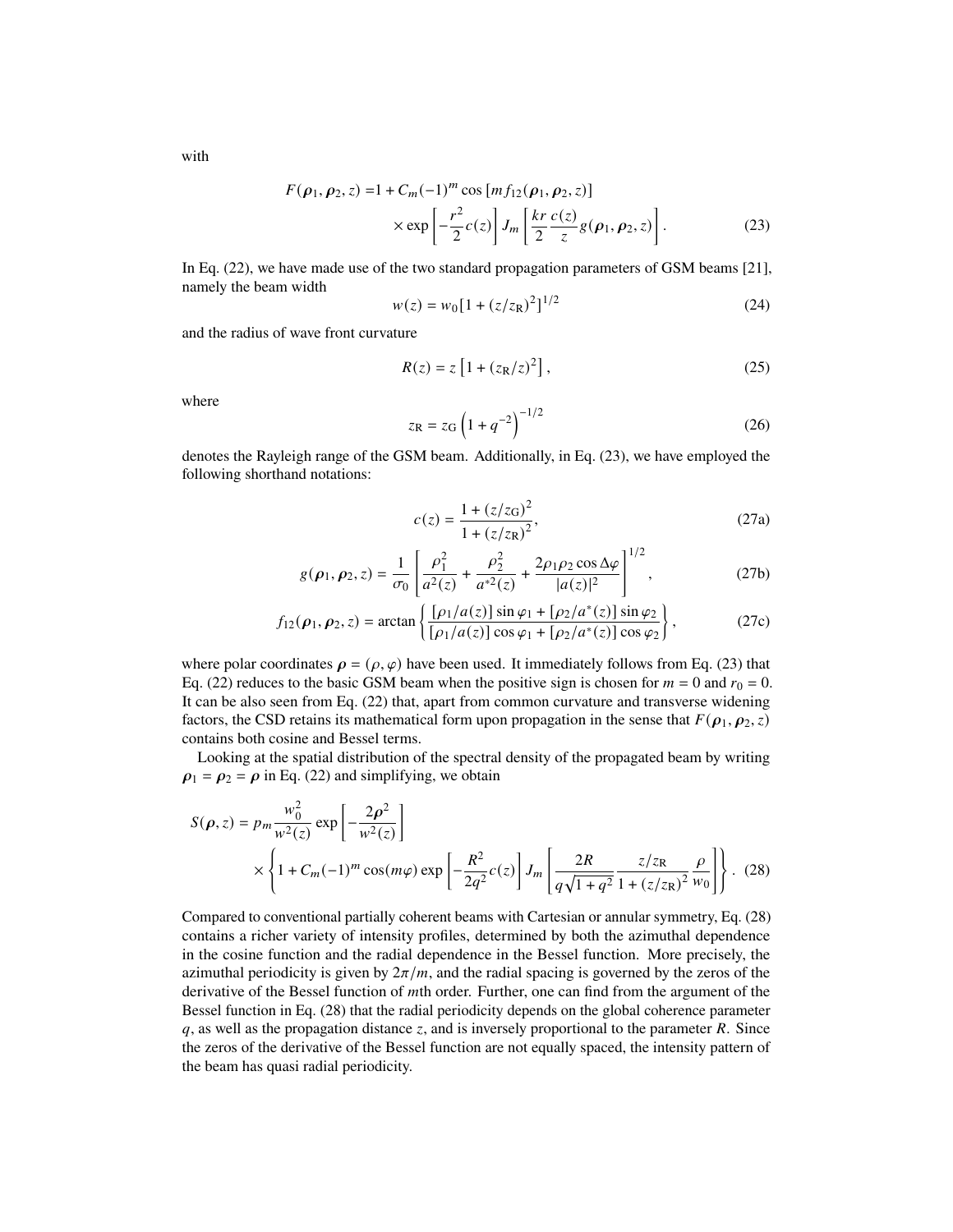with

$$
F(\rho_1, \rho_2, z) = 1 + C_m(-1)^m \cos [m f_{12}(\rho_1, \rho_2, z)]
$$
  
 
$$
\times \exp \left[ -\frac{r^2}{2} c(z) \right] J_m \left[ \frac{kr}{2} \frac{c(z)}{z} g(\rho_1, \rho_2, z) \right].
$$
 (23)

In Eq. [\(22\)](#page-3-4), we have made use of the two standard propagation parameters of GSM beams [\[21\]](#page-12-18), namely the beam width

<span id="page-4-2"></span><span id="page-4-0"></span>
$$
w(z) = w_0 [1 + (z/z_R)^2]^{1/2}
$$
 (24)

and the radius of wave front curvature

<span id="page-4-3"></span>
$$
R(z) = z [1 + (zR/z)2],
$$
 (25)

where

$$
z_{\rm R} = z_{\rm G} \left( 1 + q^{-2} \right)^{-1/2} \tag{26}
$$

denotes the Rayleigh range of the GSM beam. Additionally, in Eq. [\(23\)](#page-4-0), we have employed the following shorthand notations:

<span id="page-4-1"></span>
$$
c(z) = \frac{1 + (z/zG)2}{1 + (z/zR)2},
$$
\n(27a)

$$
g(\rho_1, \rho_2, z) = \frac{1}{\sigma_0} \left[ \frac{\rho_1^2}{a^2(z)} + \frac{\rho_2^2}{a^{*2}(z)} + \frac{2\rho_1 \rho_2 \cos \Delta \varphi}{|a(z)|^2} \right]^{1/2},
$$
 (27b)

$$
f_{12}(\rho_1, \rho_2, z) = \arctan\left\{ \frac{[\rho_1/a(z)] \sin \varphi_1 + [\rho_2/a^*(z)] \sin \varphi_2}{[\rho_1/a(z)] \cos \varphi_1 + [\rho_2/a^*(z)] \cos \varphi_2} \right\},
$$
(27c)

where polar coordinates  $\rho = (\rho, \varphi)$  have been used. It immediately follows from Eq. [\(23\)](#page-4-0) that Eq. [\(22\)](#page-3-4) reduces to the basic GSM beam when the positive sign is chosen for  $m = 0$  and  $r_0 = 0$ . It can be also seen from Eq. [\(22\)](#page-3-4) that, apart from common curvature and transverse widening factors, the CSD retains its mathematical form upon propagation in the sense that  $F(\rho_1, \rho_2, z)$ contains both cosine and Bessel terms.

Looking at the spatial distribution of the spectral density of the propagated beam by writing  $\rho_1 = \rho_2 = \rho$  in Eq. [\(22\)](#page-3-4) and simplifying, we obtain

$$
S(\rho, z) = p_m \frac{w_0^2}{w^2(z)} \exp\left[-\frac{2\rho^2}{w^2(z)}\right]
$$
  
 
$$
\times \left\{1 + C_m(-1)^m \cos(m\varphi) \exp\left[-\frac{R^2}{2q^2}c(z)\right]J_m\left[\frac{2R}{q\sqrt{1+q^2}}\frac{z/z_R}{1 + (z/z_R)^2}\frac{\rho}{w_0}\right]\right\}. (28)
$$

Compared to conventional partially coherent beams with Cartesian or annular symmetry, Eq. [\(28\)](#page-4-1) contains a richer variety of intensity profiles, determined by both the azimuthal dependence in the cosine function and the radial dependence in the Bessel function. More precisely, the azimuthal periodicity is given by  $2\pi/m$ , and the radial spacing is governed by the zeros of the derivative of the Bessel function of *m*th order. Further, one can find from the argument of the Bessel function in Eq. [\(28\)](#page-4-1) that the radial periodicity depends on the global coherence parameter  $q$ , as well as the propagation distance  $z$ , and is inversely proportional to the parameter  $R$ . Since the zeros of the derivative of the Bessel function are not equally spaced, the intensity pattern of the beam has quasi radial periodicity.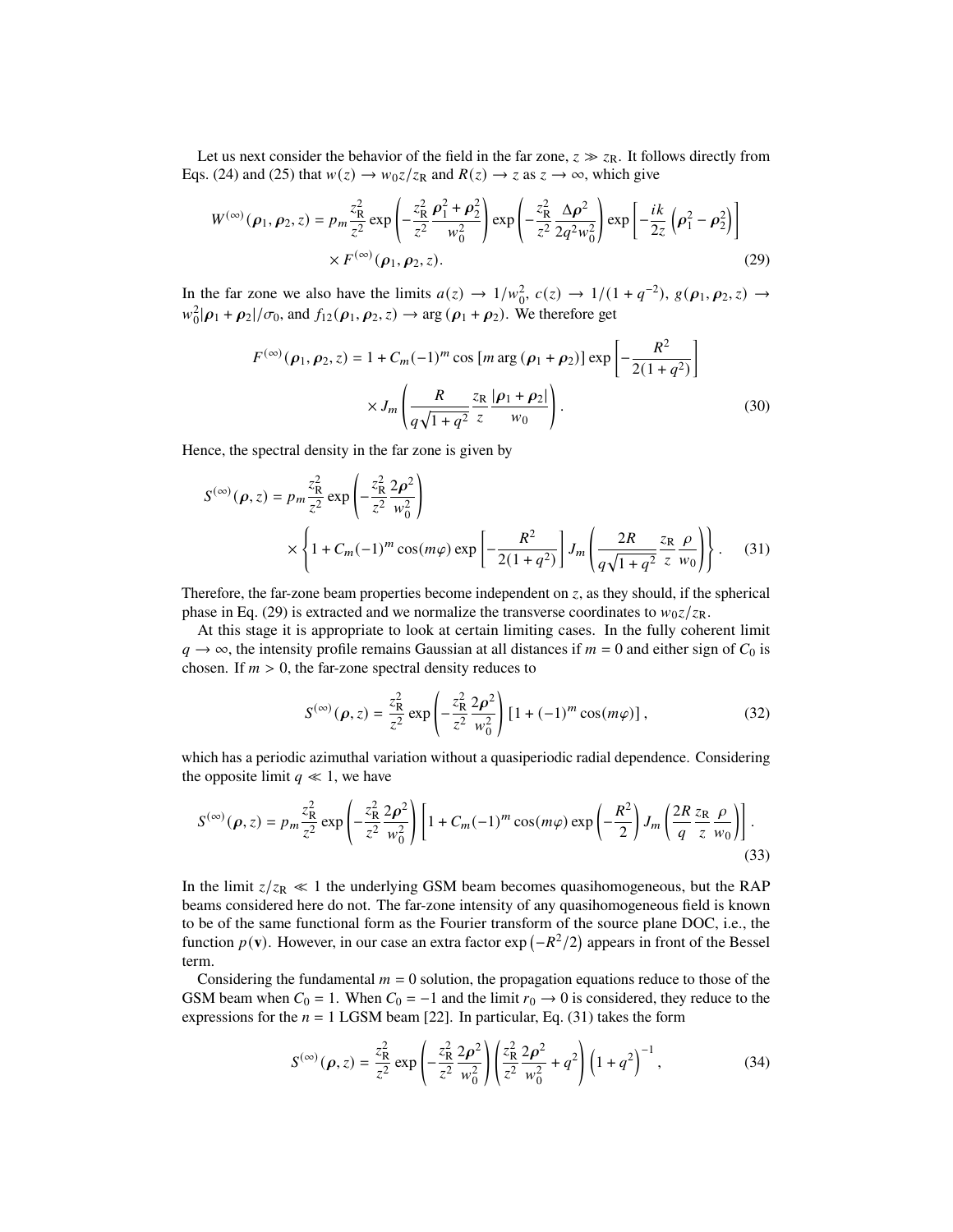Let us next consider the behavior of the field in the far zone,  $z \gg z_R$ . It follows directly from Eqs. [\(24\)](#page-4-2) and [\(25\)](#page-4-3) that  $w(z) \to w_0 z / z_R$  and  $R(z) \to z$  as  $z \to \infty$ , which give

$$
W^{(\infty)}(\rho_1, \rho_2, z) = p_m \frac{z_R^2}{z^2} \exp\left(-\frac{z_R^2}{z^2} \frac{\rho_1^2 + \rho_2^2}{w_0^2}\right) \exp\left(-\frac{z_R^2}{z^2} \frac{\Delta \rho^2}{2q^2 w_0^2}\right) \exp\left[-\frac{ik}{2z} \left(\rho_1^2 - \rho_2^2\right)\right]
$$
  
×  $F^{(\infty)}(\rho_1, \rho_2, z)$ . (29)

In the far zone we also have the limits  $a(z) \to 1/w_0^2$ ,  $c(z) \to 1/(1+q^{-2})$ ,  $g(\rho_1, \rho_2, z) \to$  $w_0^2|\rho_1 + \rho_2|/\sigma_0$ , and  $f_{12}(\rho_1, \rho_2, z) \rightarrow \arg(\rho_1 + \rho_2)$ . We therefore get

<span id="page-5-0"></span>
$$
F^{(\infty)}(\rho_1, \rho_2, z) = 1 + C_m(-1)^m \cos \left[ m \arg (\rho_1 + \rho_2) \right] \exp \left[ -\frac{R^2}{2(1+q^2)} \right] \times J_m \left( \frac{R}{q\sqrt{1+q^2}} \frac{z_R}{z} \frac{|\rho_1 + \rho_2|}{w_0} \right). \tag{30}
$$

Hence, the spectral density in the far zone is given by

$$
S^{(\infty)}(\rho, z) = p_m \frac{z_R^2}{z^2} \exp\left(-\frac{z_R^2}{z^2} \frac{2\rho^2}{w_0^2}\right)
$$
  
 
$$
\times \left\{1 + C_m(-1)^m \cos(m\varphi) \exp\left[-\frac{R^2}{2(1+q^2)}\right] J_m\left(\frac{2R}{q\sqrt{1+q^2}} \frac{z_R}{z} \frac{\rho}{w_0}\right)\right\}.
$$
 (31)

Therefore, the far-zone beam properties become independent on  $z$ , as they should, if the spherical phase in Eq. [\(29\)](#page-5-0) is extracted and we normalize the transverse coordinates to  $w_0 z / z_R$ .

At this stage it is appropriate to look at certain limiting cases. In the fully coherent limit  $q \rightarrow \infty$ , the intensity profile remains Gaussian at all distances if  $m = 0$  and either sign of  $C_0$  is chosen. If  $m > 0$ , the far-zone spectral density reduces to

<span id="page-5-1"></span>
$$
S^{(\infty)}(\rho, z) = \frac{z_{\rm R}^2}{z^2} \exp\left(-\frac{z_{\rm R}^2}{z^2} \frac{2\rho^2}{w_0^2}\right) \left[1 + (-1)^m \cos(m\varphi)\right],\tag{32}
$$

which has a periodic azimuthal variation without a quasiperiodic radial dependence. Considering the opposite limit  $q \ll 1$ , we have

$$
S^{(\infty)}(\rho, z) = p_m \frac{z_R^2}{z^2} \exp\left(-\frac{z_R^2}{z^2} \frac{2\rho^2}{w_0^2}\right) \left[1 + C_m(-1)^m \cos(m\varphi) \exp\left(-\frac{R^2}{2}\right) J_m\left(\frac{2R}{q} \frac{z_R}{z} \frac{\rho}{w_0}\right)\right].
$$
\n(33)

In the limit  $z/z_R \ll 1$  the underlying GSM beam becomes quasihomogeneous, but the RAP beams considered here do not. The far-zone intensity of any quasihomogeneous field is known to be of the same functional form as the Fourier transform of the source plane DOC, i.e., the function  $p(\mathbf{v})$ . However, in our case an extra factor exp  $\left(-R^2/2\right)$  appears in front of the Bessel term.

Considering the fundamental  $m = 0$  solution, the propagation equations reduce to those of the GSM beam when  $C_0 = 1$ . When  $C_0 = -1$  and the limit  $r_0 \rightarrow 0$  is considered, they reduce to the expressions for the  $n = 1$  LGSM beam [\[22\]](#page-12-19). In particular, Eq. [\(31\)](#page-5-1) takes the form

$$
S^{(\infty)}(\rho, z) = \frac{z_{\rm R}^2}{z^2} \exp\left(-\frac{z_{\rm R}^2}{z^2} \frac{2\rho^2}{w_0^2}\right) \left(\frac{z_{\rm R}^2}{z^2} \frac{2\rho^2}{w_0^2} + q^2\right) \left(1 + q^2\right)^{-1},\tag{34}
$$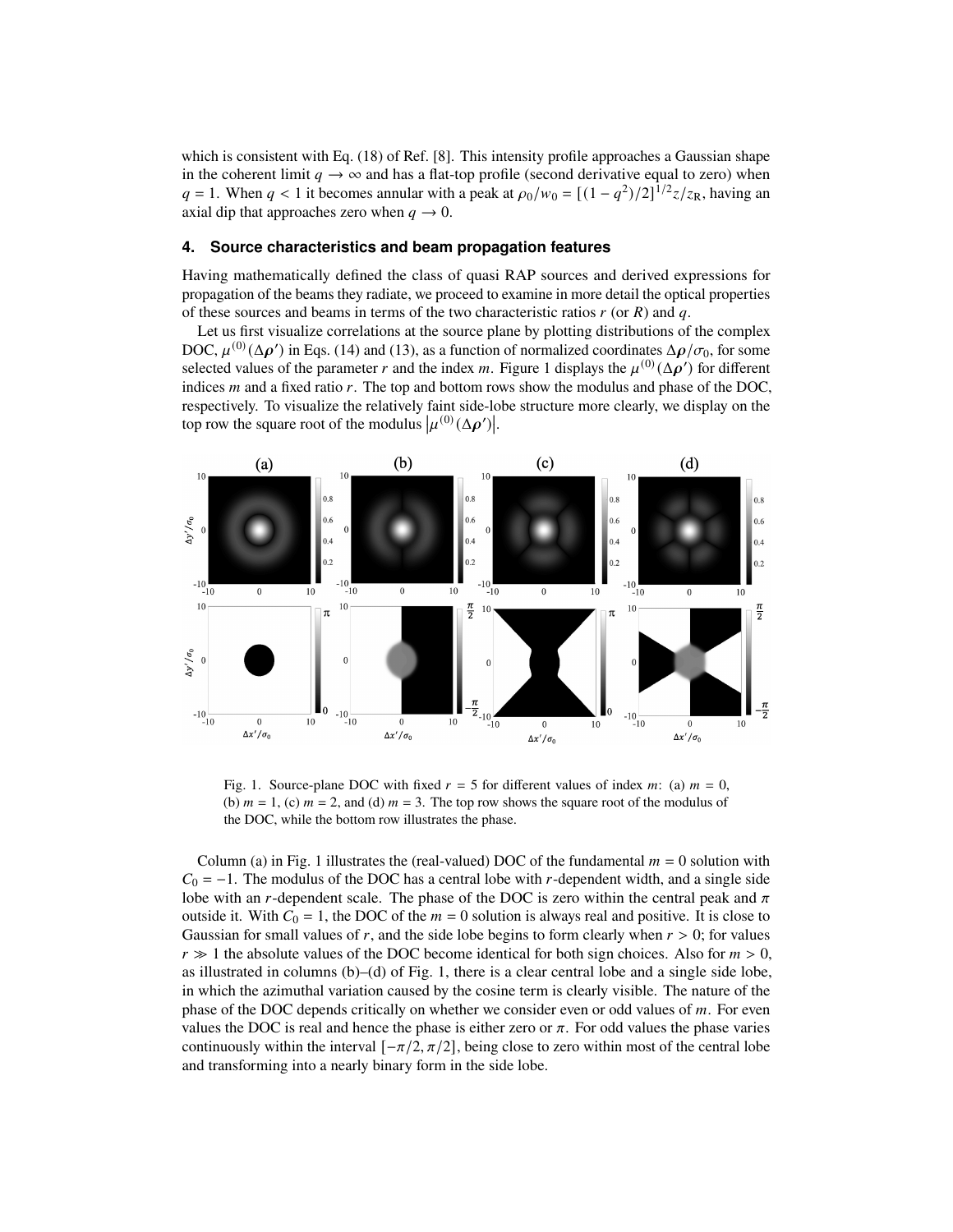which is consistent with Eq. (18) of Ref. [\[8\]](#page-12-17). This intensity profile approaches a Gaussian shape in the coherent limit  $q \rightarrow \infty$  and has a flat-top profile (second derivative equal to zero) when  $q = 1$ . When  $q < 1$  it becomes annular with a peak at  $\rho_0/w_0 = \left[\frac{(1 - q^2)}{2}\right]^{1/2} z/z_R$ , having an axial dip that approaches zero when  $q \to 0$ .

## **4. Source characteristics and beam propagation features**

Having mathematically defined the class of quasi RAP sources and derived expressions for propagation of the beams they radiate, we proceed to examine in more detail the optical properties of these sources and beams in terms of the two characteristic ratios  $r$  (or  $R$ ) and  $q$ .

Let us first visualize correlations at the source plane by plotting distributions of the complex DOC,  $\mu^{(0)}(\Delta \rho')$  in Eqs. [\(14\)](#page-2-3) and [\(13\)](#page-2-2), as a function of normalized coordinates  $\Delta \rho/\sigma_0$ , for some selected values of the parameter r and the index m. Figure [1](#page-6-0) displays the  $\mu^{(0)}(\Delta \rho')$  for different indices  *and a fixed ratio*  $*r*$ *. The top and bottom rows show the modulus and phase of the DOC,* respectively. To visualize the relatively faint side-lobe structure more clearly, we display on the top row the square root of the modulus  $\left|\mu^{(0)}(\Delta \boldsymbol{\rho}')\right|$ .



<span id="page-6-0"></span>Fig. 1. Source-plane DOC with fixed  $r = 5$  for different values of index  $m$ : (a)  $m = 0$ , (b)  $m = 1$ , (c)  $m = 2$ , and (d)  $m = 3$ . The top row shows the square root of the modulus of the DOC, while the bottom row illustrates the phase.

Column (a) in Fig. [1](#page-6-0) illustrates the (real-valued) DOC of the fundamental  $m = 0$  solution with  $C_0 = -1$ . The modulus of the DOC has a central lobe with r-dependent width, and a single side lobe with an *r*-dependent scale. The phase of the DOC is zero within the central peak and  $\pi$ outside it. With  $C_0 = 1$ , the DOC of the  $m = 0$  solution is always real and positive. It is close to Gaussian for small values of r, and the side lobe begins to form clearly when  $r > 0$ ; for values  $r \gg 1$  the absolute values of the DOC become identical for both sign choices. Also for  $m > 0$ , as illustrated in columns (b)–(d) of Fig. [1,](#page-6-0) there is a clear central lobe and a single side lobe, in which the azimuthal variation caused by the cosine term is clearly visible. The nature of the phase of the DOC depends critically on whether we consider even or odd values of  $m$ . For even values the DOC is real and hence the phase is either zero or  $\pi$ . For odd values the phase varies continuously within the interval  $[-\pi/2, \pi/2]$ , being close to zero within most of the central lobe and transforming into a nearly binary form in the side lobe.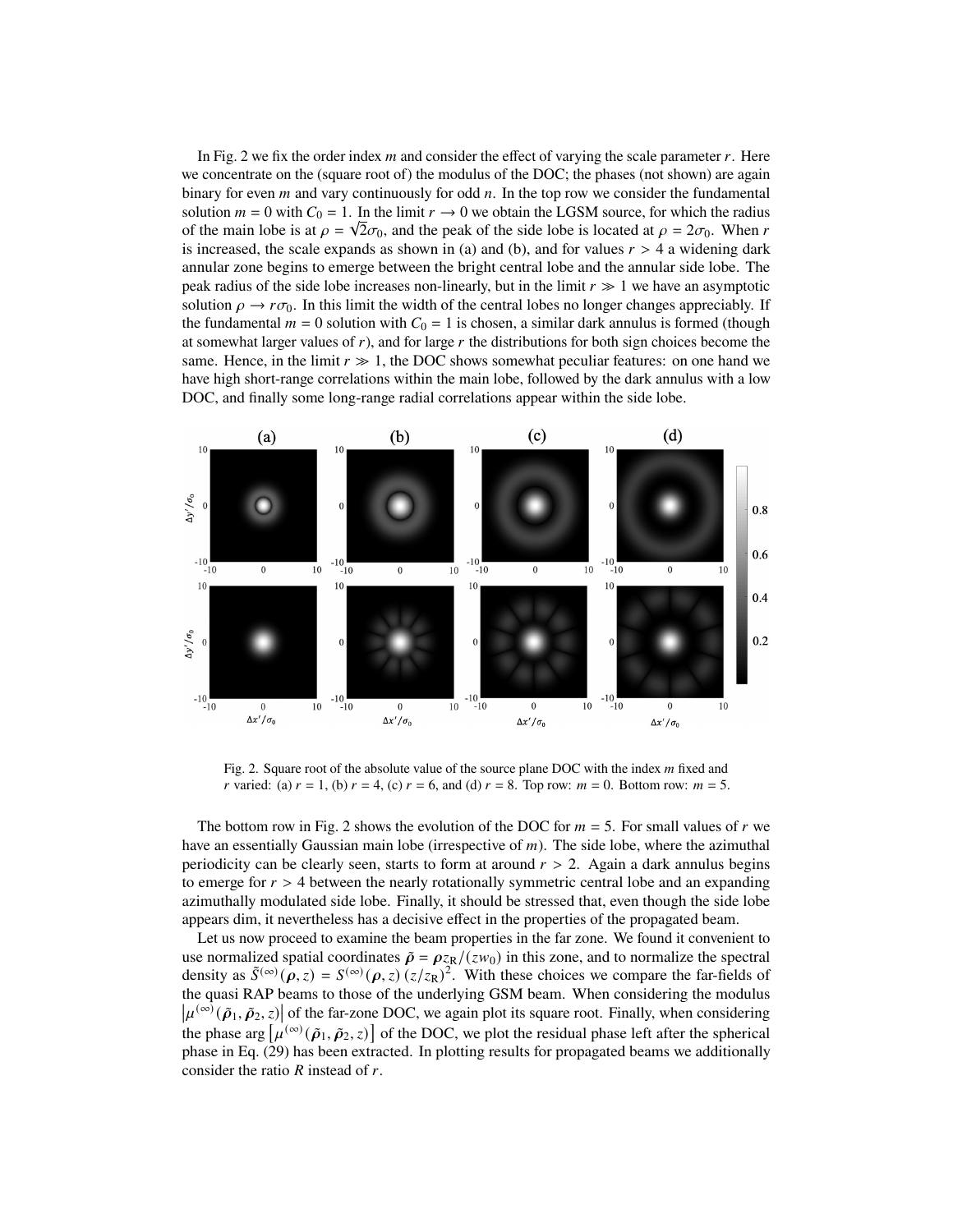In Fig. [2](#page-7-0) we fix the order index  $m$  and consider the effect of varying the scale parameter  $r$ . Here we concentrate on the (square root of) the modulus of the DOC; the phases (not shown) are again binary for even  $m$  and vary continuously for odd  $n$ . In the top row we consider the fundamental solution  $m = 0$  with  $C_0 = 1$ . In the limit  $r \to 0$  we obtain the LGSM source, for which the radius of the main lobe is at  $\rho = \sqrt{2}\sigma_0$ , and the peak of the side lobe is located at  $\rho = 2\sigma_0$ . When r is increased, the scale expands as shown in (a) and (b), and for values  $r > 4$  a widening dark annular zone begins to emerge between the bright central lobe and the annular side lobe. The peak radius of the side lobe increases non-linearly, but in the limit  $r \gg 1$  we have an asymptotic solution  $\rho \to r\sigma_0$ . In this limit the width of the central lobes no longer changes appreciably. If the fundamental  $m = 0$  solution with  $C_0 = 1$  is chosen, a similar dark annulus is formed (though at somewhat larger values of  $r$ ), and for large  $r$  the distributions for both sign choices become the same. Hence, in the limit  $r \gg 1$ , the DOC shows somewhat peculiar features: on one hand we have high short-range correlations within the main lobe, followed by the dark annulus with a low DOC, and finally some long-range radial correlations appear within the side lobe.



<span id="page-7-0"></span>Fig. 2. Square root of the absolute value of the source plane DOC with the index  $m$  fixed and r varied: (a)  $r = 1$ , (b)  $r = 4$ , (c)  $r = 6$ , and (d)  $r = 8$ . Top row:  $m = 0$ . Bottom row:  $m = 5$ .

The bottom row in Fig. [2](#page-7-0) shows the evolution of the DOC for  $m = 5$ . For small values of r we have an essentially Gaussian main lobe (irrespective of  $m$ ). The side lobe, where the azimuthal periodicity can be clearly seen, starts to form at around  $r > 2$ . Again a dark annulus begins to emerge for  $r > 4$  between the nearly rotationally symmetric central lobe and an expanding azimuthally modulated side lobe. Finally, it should be stressed that, even though the side lobe appears dim, it nevertheless has a decisive effect in the properties of the propagated beam.

Let us now proceed to examine the beam properties in the far zone. We found it convenient to use normalized spatial coordinates  $\tilde{\rho} = \rho_{\rm ZR}/(z w_0)$  in this zone, and to normalize the spectral density as  $\tilde{S}^{(\infty)}(\rho, z) = S^{(\infty)}(\rho, z) (z/z_R)^2$ . With these choices we compare the far-fields of the quasi RAP beams to those of the underlying GSM beam. When considering the modulus  $\left|\mu^{(\infty)}(\tilde{\rho}_1, \tilde{\rho}_2, z)\right|$  of the far-zone DOC, we again plot its square root. Finally, when considering the phase arg  $[\mu^{(\infty)}(\tilde{\rho}_1, \tilde{\rho}_2, z)]$  of the DOC, we plot the residual phase left after the spherical phase in Eq. [\(29\)](#page-5-0) has been extracted. In plotting results for propagated beams we additionally consider the ratio  *instead of*  $*r*$ *.*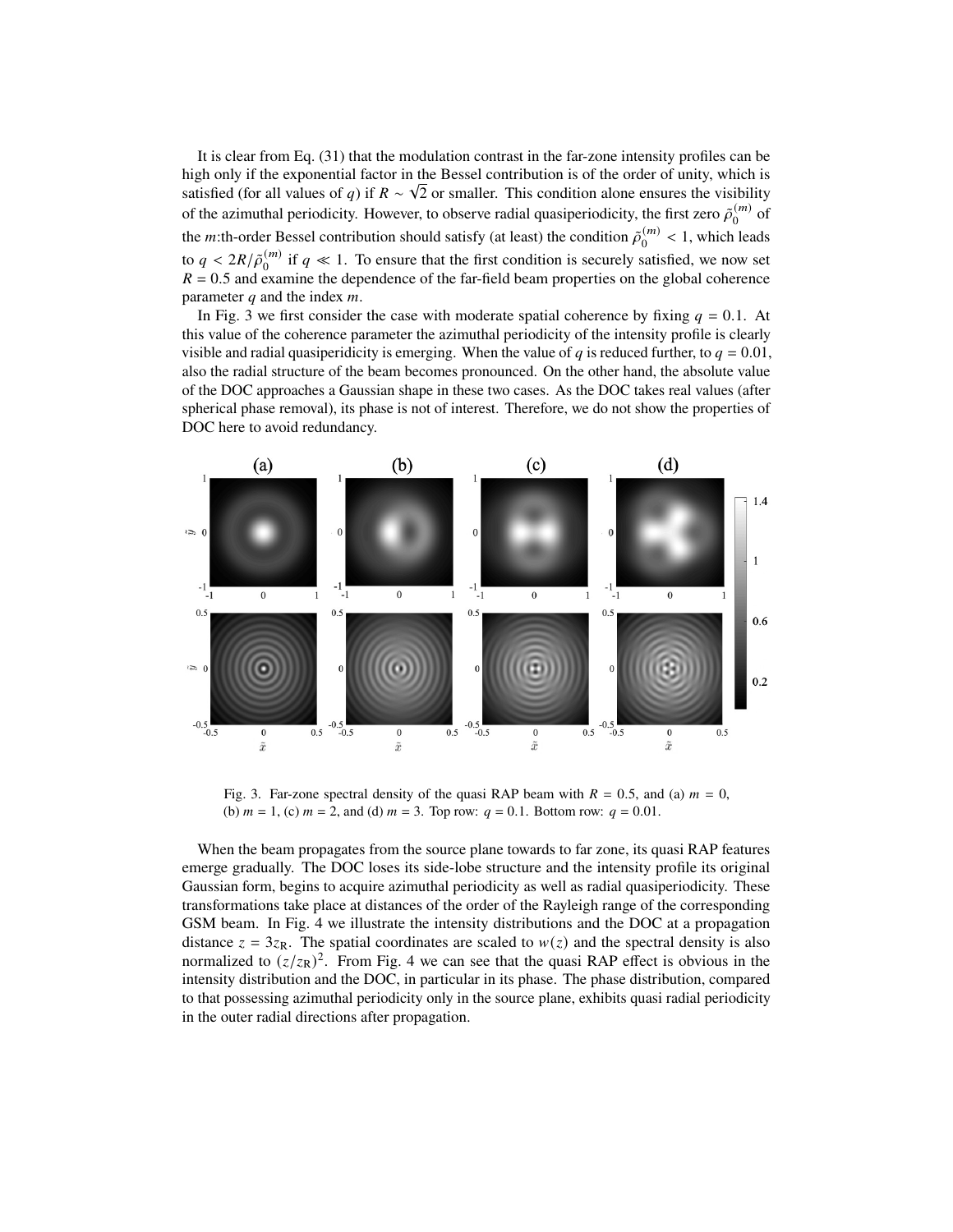It is clear from Eq. [\(31\)](#page-5-1) that the modulation contrast in the far-zone intensity profiles can be high only if the exponential factor in the Bessel contribution is of the order of unity, which is satisfied (for all values of q) if  $R \sim \sqrt{2}$  or smaller. This condition alone ensures the visibility of the azimuthal periodicity. However, to observe radial quasiperiodicity, the first zero  $\tilde{\rho}_0^{(m)}$  $_0^{(m)}$  of the *m*:th-order Bessel contribution should satisfy (at least) the condition  $\tilde{\rho}_0^{(m)}$  $\binom{m}{0}$  < 1, which leads to  $q < 2R/\tilde{\rho}_0^{(m)}$  $\binom{m}{0}$  if  $q \ll 1$ . To ensure that the first condition is securely satisfied, we now set  $R = 0.5$  and examine the dependence of the far-field beam properties on the global coherence parameter  $q$  and the index  $m$ .

In Fig. [3](#page-8-0) we first consider the case with moderate spatial coherence by fixing  $q = 0.1$ . At this value of the coherence parameter the azimuthal periodicity of the intensity profile is clearly visible and radial quasiperidicity is emerging. When the value of q is reduced further, to  $q = 0.01$ , also the radial structure of the beam becomes pronounced. On the other hand, the absolute value of the DOC approaches a Gaussian shape in these two cases. As the DOC takes real values (after spherical phase removal), its phase is not of interest. Therefore, we do not show the properties of DOC here to avoid redundancy.



<span id="page-8-0"></span>Fig. 3. Far-zone spectral density of the quasi RAP beam with  $R = 0.5$ , and (a)  $m = 0$ , (b)  $m = 1$ , (c)  $m = 2$ , and (d)  $m = 3$ . Top row:  $q = 0.1$ . Bottom row:  $q = 0.01$ .

When the beam propagates from the source plane towards to far zone, its quasi RAP features emerge gradually. The DOC loses its side-lobe structure and the intensity profile its original Gaussian form, begins to acquire azimuthal periodicity as well as radial quasiperiodicity. These transformations take place at distances of the order of the Rayleigh range of the corresponding GSM beam. In Fig. [4](#page-9-0) we illustrate the intensity distributions and the DOC at a propagation distance  $z = 3z_R$ . The spatial coordinates are scaled to  $w(z)$  and the spectral density is also normalized to  $(z/z_R)^2$ . From Fig. [4](#page-9-0) we can see that the quasi RAP effect is obvious in the intensity distribution and the DOC, in particular in its phase. The phase distribution, compared to that possessing azimuthal periodicity only in the source plane, exhibits quasi radial periodicity in the outer radial directions after propagation.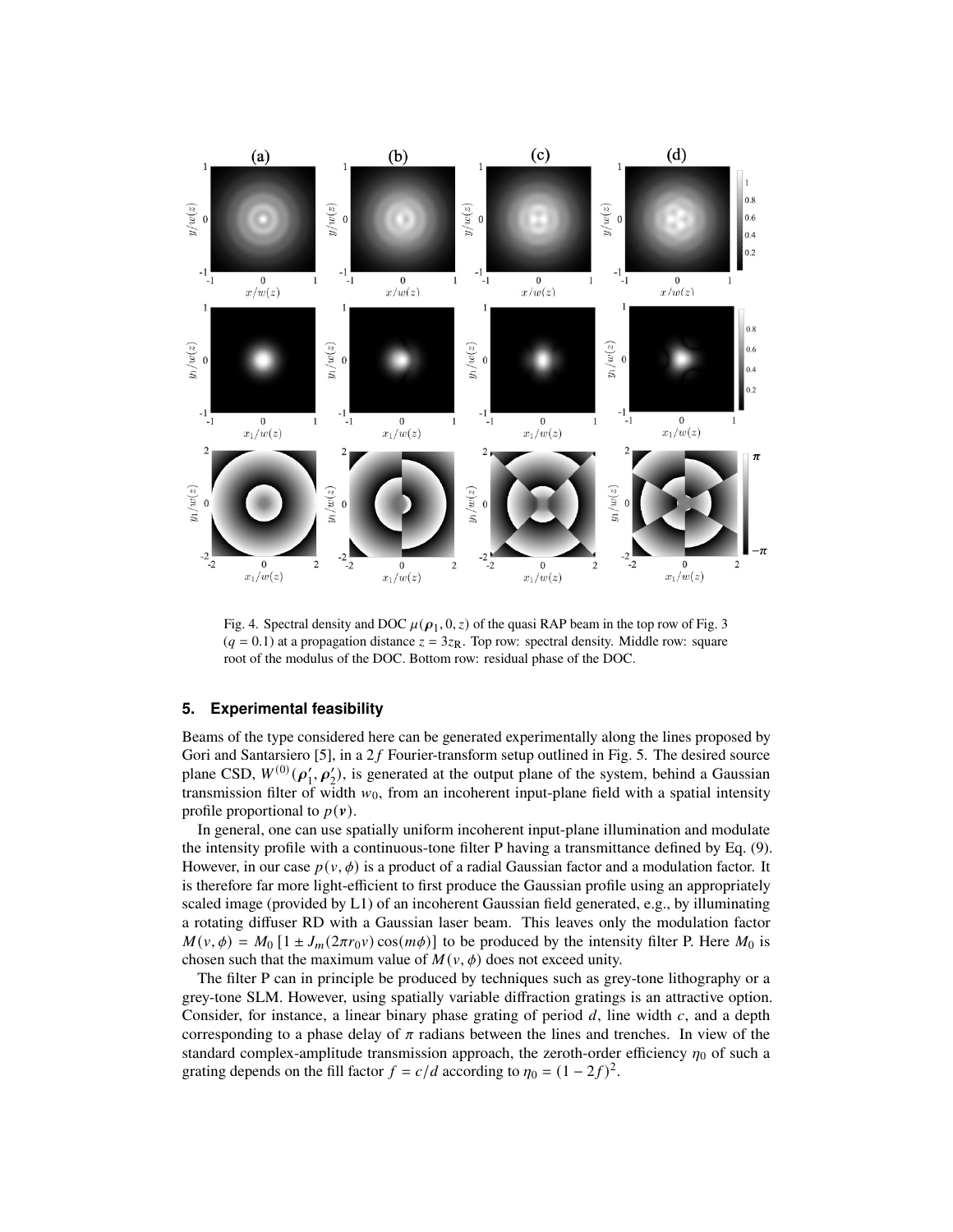

<span id="page-9-0"></span>Fig. 4. Spectral density and DOC  $\mu(\rho_1, 0, z)$  of the quasi RAP beam in the top row of Fig. 3  $(q = 0.1)$  at a propagation distance  $z = 3z_R$ . Top row: spectral density. Middle row: square root of the modulus of the DOC. Bottom row: residual phase of the DOC.

### **5. Experimental feasibility**

Beams of the type considered here can be generated experimentally along the lines proposed by Gori and Santarsiero [\[5\]](#page-12-4), in a  $2f$  Fourier-transform setup outlined in Fig. 5. The desired source plane CSD,  $W^{(0)}(\rho'_1, \rho'_2)$ , is generated at the output plane of the system, behind a Gaussian transmission filter of width  $w_0$ , from an incoherent input-plane field with a spatial intensity profile proportional to  $p(\mathbf{v})$ .

In general, one can use spatially uniform incoherent input-plane illumination and modulate the intensity profile with a continuous-tone filter P having a transmittance defined by Eq. [\(9\)](#page-2-1). However, in our case  $p(v, \phi)$  is a product of a radial Gaussian factor and a modulation factor. It is therefore far more light-efficient to first produce the Gaussian profile using an appropriately scaled image (provided by L1) of an incoherent Gaussian field generated, e.g., by illuminating a rotating diffuser RD with a Gaussian laser beam. This leaves only the modulation factor  $M(v, \phi) = M_0 [1 \pm J_m(2\pi r_0 v) \cos(m\phi)]$  to be produced by the intensity filter P. Here  $M_0$  is chosen such that the maximum value of  $M(v, \phi)$  does not exceed unity.

The filter P can in principle be produced by techniques such as grey-tone lithography or a grey-tone SLM. However, using spatially variable diffraction gratings is an attractive option. Consider, for instance, a linear binary phase grating of period  $d$ , line width  $c$ , and a depth corresponding to a phase delay of  $\pi$  radians between the lines and trenches. In view of the standard complex-amplitude transmission approach, the zeroth-order efficiency  $\eta_0$  of such a grating depends on the fill factor  $f = c/d$  according to  $\eta_0 = (1 - 2f)^2$ .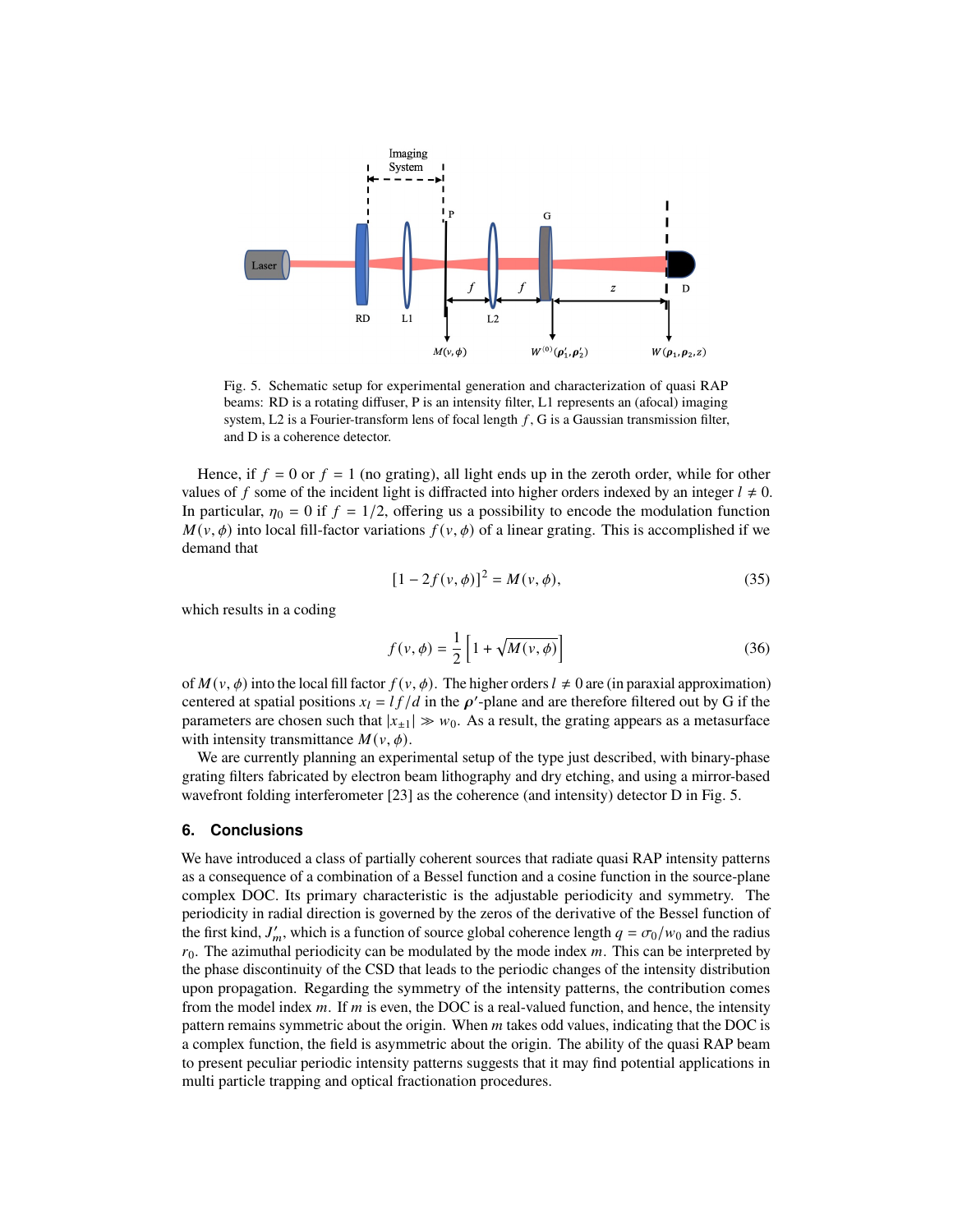

Fig. 5. Schematic setup for experimental generation and characterization of quasi RAP beams: RD is a rotating diffuser, P is an intensity filter, L1 represents an (afocal) imaging system, L2 is a Fourier-transform lens of focal length  $f$ , G is a Gaussian transmission filter, and D is a coherence detector.

Hence, if  $f = 0$  or  $f = 1$  (no grating), all light ends up in the zeroth order, while for other values of f some of the incident light is diffracted into higher orders indexed by an integer  $l \neq 0$ . In particular,  $\eta_0 = 0$  if  $f = 1/2$ , offering us a possibility to encode the modulation function  $M(v, \phi)$  into local fill-factor variations  $f(v, \phi)$  of a linear grating. This is accomplished if we demand that

$$
[1 - 2f(v, \phi)]^2 = M(v, \phi), \tag{35}
$$

which results in a coding

$$
f(v,\phi) = \frac{1}{2} \left[ 1 + \sqrt{M(v,\phi)} \right]
$$
 (36)

of  $M(v, \phi)$  into the local fill factor  $f(v, \phi)$ . The higher orders  $l \neq 0$  are (in paraxial approximation) centered at spatial positions  $x_l = l f / d$  in the  $\rho'$ -plane and are therefore filtered out by G if the parameters are chosen such that  $|x_{\pm 1}| \gg w_0$ . As a result, the grating appears as a metasurface with intensity transmittance  $M(v, \phi)$ .

We are currently planning an experimental setup of the type just described, with binary-phase grating filters fabricated by electron beam lithography and dry etching, and using a mirror-based wavefront folding interferometer [\[23\]](#page-12-20) as the coherence (and intensity) detector D in Fig. 5.

#### **6. Conclusions**

We have introduced a class of partially coherent sources that radiate quasi RAP intensity patterns as a consequence of a combination of a Bessel function and a cosine function in the source-plane complex DOC. Its primary characteristic is the adjustable periodicity and symmetry. The periodicity in radial direction is governed by the zeros of the derivative of the Bessel function of the first kind,  $J'_m$ , which is a function of source global coherence length  $q = \sigma_0/w_0$  and the radius  $r_0$ . The azimuthal periodicity can be modulated by the mode index  $m$ . This can be interpreted by the phase discontinuity of the CSD that leads to the periodic changes of the intensity distribution upon propagation. Regarding the symmetry of the intensity patterns, the contribution comes from the model index  $m$ . If  $m$  is even, the DOC is a real-valued function, and hence, the intensity pattern remains symmetric about the origin. When  $m$  takes odd values, indicating that the DOC is a complex function, the field is asymmetric about the origin. The ability of the quasi RAP beam to present peculiar periodic intensity patterns suggests that it may find potential applications in multi particle trapping and optical fractionation procedures.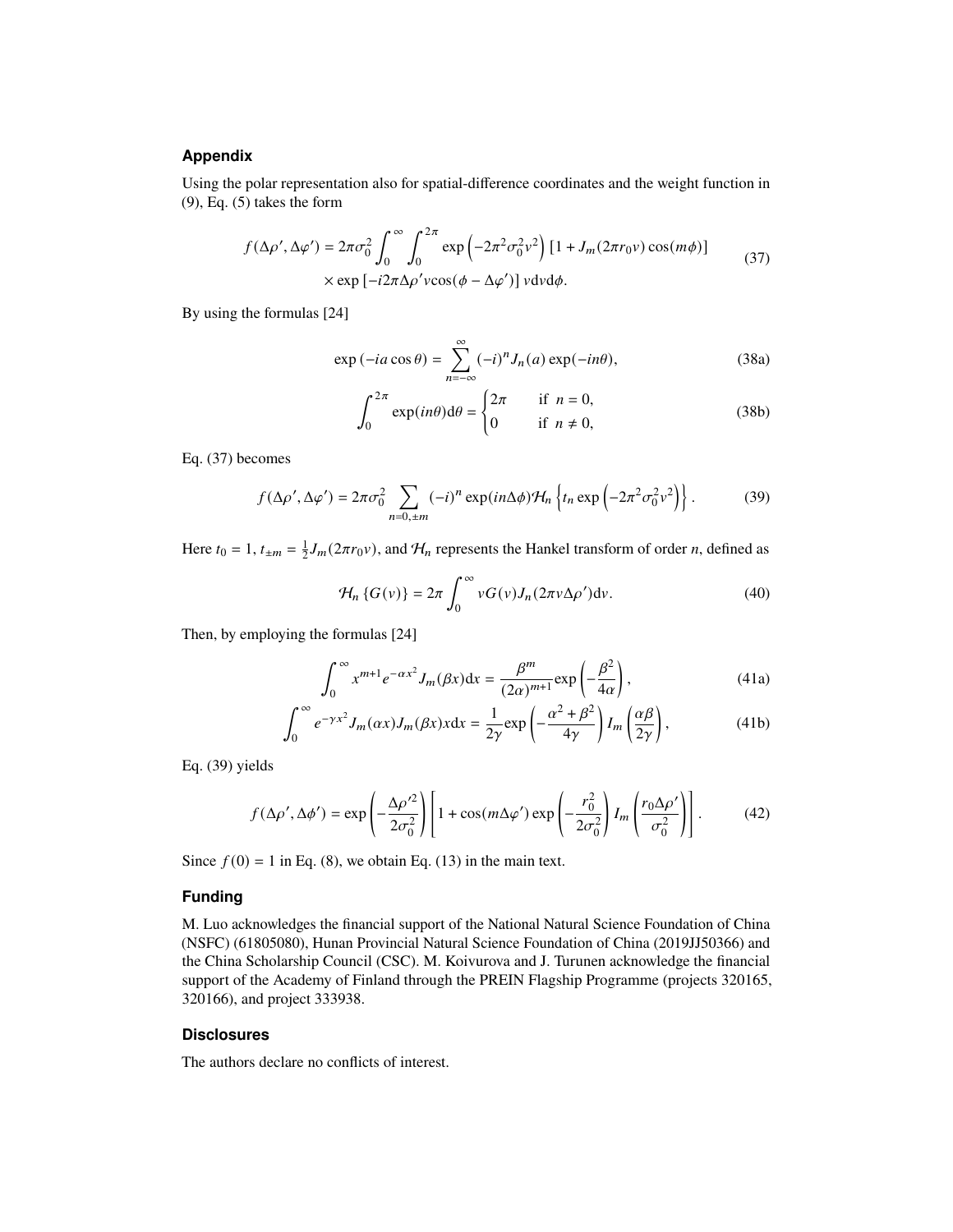#### **Appendix**

Using the polar representation also for spatial-difference coordinates and the weight function in [\(9\)](#page-2-1), Eq. [\(5\)](#page-1-1) takes the form

$$
f(\Delta \rho', \Delta \varphi') = 2\pi \sigma_0^2 \int_0^\infty \int_0^{2\pi} \exp\left(-2\pi^2 \sigma_0^2 v^2\right) \left[1 + J_m(2\pi r_0 v) \cos(m\phi)\right]
$$
  
×  $\exp\left[-i2\pi \Delta \rho' v \cos(\phi - \Delta \varphi')\right] v dv d\phi.$  (37)

<span id="page-11-0"></span>By using the formulas [\[24\]](#page-12-21)

$$
\exp(-ia\cos\theta) = \sum_{n=-\infty}^{\infty} (-i)^n J_n(a) \exp(-in\theta), \tag{38a}
$$

$$
\int_0^{2\pi} \exp(in\theta) d\theta = \begin{cases} 2\pi & \text{if } n = 0, \\ 0 & \text{if } n \neq 0, \end{cases}
$$
 (38b)

Eq. [\(37\)](#page-11-0) becomes

<span id="page-11-1"></span>
$$
f(\Delta \rho', \Delta \varphi') = 2\pi \sigma_0^2 \sum_{n=0, \pm m} (-i)^n \exp(in\Delta \phi) \mathcal{H}_n \left\{ t_n \exp\left(-2\pi^2 \sigma_0^2 v^2\right) \right\}.
$$
 (39)

Here  $t_0 = 1$ ,  $t_{\pm m} = \frac{1}{2} J_m(2\pi r_0 v)$ , and  $H_n$  represents the Hankel transform of order *n*, defined as

$$
\mathcal{H}_n\left\{G(v)\right\} = 2\pi \int_0^\infty v G(v) J_n(2\pi v \Delta \rho') dv. \tag{40}
$$

Then, by employing the formulas [\[24\]](#page-12-21)

$$
\int_0^\infty x^{m+1} e^{-\alpha x^2} J_m(\beta x) dx = \frac{\beta^m}{(2\alpha)^{m+1}} \exp\left(-\frac{\beta^2}{4\alpha}\right),\tag{41a}
$$

$$
\int_0^\infty e^{-\gamma x^2} J_m(\alpha x) J_m(\beta x) x \, dx = \frac{1}{2\gamma} \exp\left(-\frac{\alpha^2 + \beta^2}{4\gamma}\right) I_m\left(\frac{\alpha \beta}{2\gamma}\right),\tag{41b}
$$

Eq. [\(39\)](#page-11-1) yields

$$
f(\Delta \rho', \Delta \phi') = \exp\left(-\frac{\Delta \rho'^2}{2\sigma_0^2}\right) \left[1 + \cos(m\Delta \varphi') \exp\left(-\frac{r_0^2}{2\sigma_0^2}\right) I_m \left(\frac{r_0 \Delta \rho'}{\sigma_0^2}\right)\right].
$$
 (42)

Since  $f(0) = 1$  in Eq. [\(8\)](#page-2-0), we obtain Eq. [\(13\)](#page-2-2) in the main text.

#### **Funding**

M. Luo acknowledges the financial support of the National Natural Science Foundation of China (NSFC) (61805080), Hunan Provincial Natural Science Foundation of China (2019JJ50366) and the China Scholarship Council (CSC). M. Koivurova and J. Turunen acknowledge the financial support of the Academy of Finland through the PREIN Flagship Programme (projects 320165, 320166), and project 333938.

#### **Disclosures**

The authors declare no conflicts of interest.